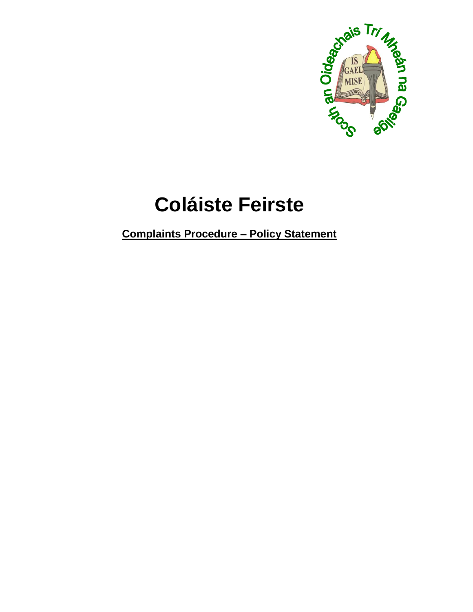

# **Coláiste Feirste**

**Complaints Procedure - Policy Statement**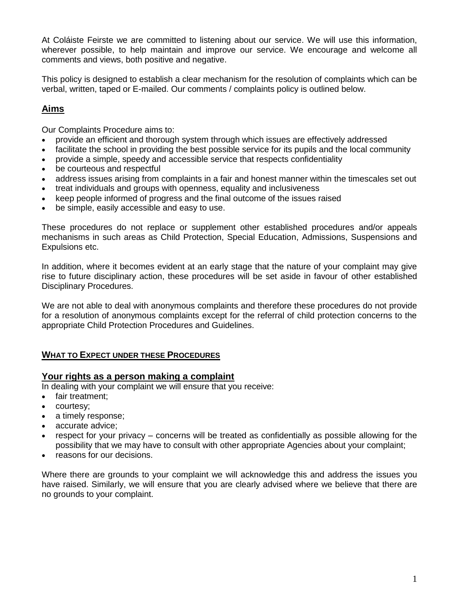At Coláiste Feirste we are committed to listening about our service. We will use this information, wherever possible, to help maintain and improve our service. We encourage and welcome all comments and views, both positive and negative.

This policy is designed to establish a clear mechanism for the resolution of complaints which can be verbal, written, taped or E-mailed. Our comments / complaints policy is outlined below.

# **Aims**

Our Complaints Procedure aims to:

- provide an efficient and thorough system through which issues are effectively addressed
- facilitate the school in providing the best possible service for its pupils and the local community
- provide a simple, speedy and accessible service that respects confidentiality
- be courteous and respectful
- address issues arising from complaints in a fair and honest manner within the timescales set out
- treat individuals and groups with openness, equality and inclusiveness
- keep people informed of progress and the final outcome of the issues raised
- be simple, easily accessible and easy to use.

These procedures do not replace or supplement other established procedures and/or appeals mechanisms in such areas as Child Protection, Special Education, Admissions, Suspensions and Expulsions etc.

In addition, where it becomes evident at an early stage that the nature of your complaint may give rise to future disciplinary action, these procedures will be set aside in favour of other established Disciplinary Procedures.

We are not able to deal with anonymous complaints and therefore these procedures do not provide for a resolution of anonymous complaints except for the referral of child protection concerns to the appropriate Child Protection Procedures and Guidelines.

# **WHAT TO EXPECT UNDER THESE PROCEDURES**

# **Your rights as a person making a complaint**

In dealing with your complaint we will ensure that you receive:

- fair treatment:
- courtesy;
- a timely response;
- accurate advice;
- respect for your privacy concerns will be treated as confidentially as possible allowing for the possibility that we may have to consult with other appropriate Agencies about your complaint;
- reasons for our decisions.

Where there are grounds to your complaint we will acknowledge this and address the issues you have raised. Similarly, we will ensure that you are clearly advised where we believe that there are no grounds to your complaint.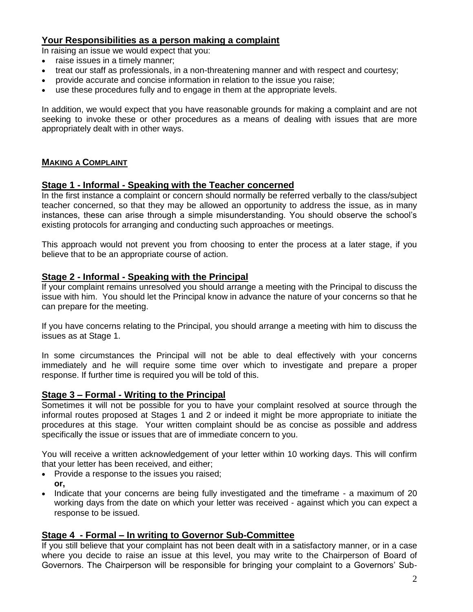# **Your Responsibilities as a person making a complaint**

In raising an issue we would expect that you:

- raise issues in a timely manner;
- treat our staff as professionals, in a non-threatening manner and with respect and courtesy;
- provide accurate and concise information in relation to the issue you raise;
- use these procedures fully and to engage in them at the appropriate levels.

In addition, we would expect that you have reasonable grounds for making a complaint and are not seeking to invoke these or other procedures as a means of dealing with issues that are more appropriately dealt with in other ways.

# **MAKING A COMPLAINT**

#### **Stage 1 - Informal - Speaking with the Teacher concerned**

In the first instance a complaint or concern should normally be referred verbally to the class/subject teacher concerned, so that they may be allowed an opportunity to address the issue, as in many instances, these can arise through a simple misunderstanding. You should observe the school's existing protocols for arranging and conducting such approaches or meetings.

This approach would not prevent you from choosing to enter the process at a later stage, if you believe that to be an appropriate course of action.

# **Stage 2 - Informal - Speaking with the Principal**

If your complaint remains unresolved you should arrange a meeting with the Principal to discuss the issue with him. You should let the Principal know in advance the nature of your concerns so that he can prepare for the meeting.

If you have concerns relating to the Principal, you should arrange a meeting with him to discuss the issues as at Stage 1.

In some circumstances the Principal will not be able to deal effectively with your concerns immediately and he will require some time over which to investigate and prepare a proper response. If further time is required you will be told of this.

# **Stage 3 – Formal - Writing to the Principal**

Sometimes it will not be possible for you to have your complaint resolved at source through the informal routes proposed at Stages 1 and 2 or indeed it might be more appropriate to initiate the procedures at this stage. Your written complaint should be as concise as possible and address specifically the issue or issues that are of immediate concern to you.

You will receive a written acknowledgement of your letter within 10 working days. This will confirm that your letter has been received, and either;

- Provide a response to the issues you raised; **or,**
- Indicate that your concerns are being fully investigated and the timeframe a maximum of 20 working days from the date on which your letter was received - against which you can expect a response to be issued.

# **Stage 4 - Formal – In writing to Governor Sub-Committee**

If you still believe that your complaint has not been dealt with in a satisfactory manner, or in a case where you decide to raise an issue at this level, you may write to the Chairperson of Board of Governors. The Chairperson will be responsible for bringing your complaint to a Governors' Sub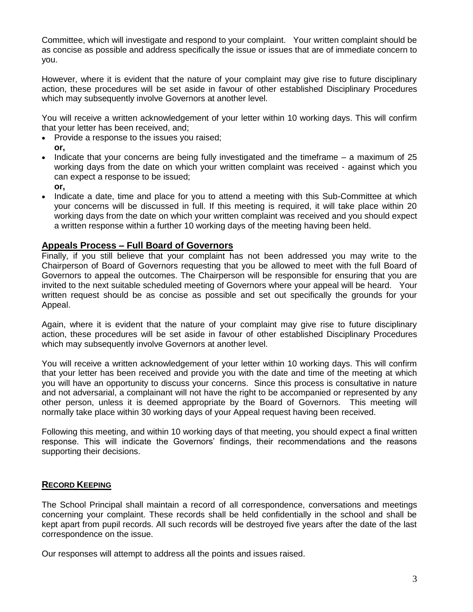Committee, which will investigate and respond to your complaint. Your written complaint should be as concise as possible and address specifically the issue or issues that are of immediate concern to you.

However, where it is evident that the nature of your complaint may give rise to future disciplinary action, these procedures will be set aside in favour of other established Disciplinary Procedures which may subsequently involve Governors at another level.

You will receive a written acknowledgement of your letter within 10 working days. This will confirm that your letter has been received, and;

- Provide a response to the issues you raised; **or,**
- Indicate that your concerns are being fully investigated and the timeframe a maximum of 25 working days from the date on which your written complaint was received - against which you can expect a response to be issued;
	- **or,**
- Indicate a date, time and place for you to attend a meeting with this Sub-Committee at which your concerns will be discussed in full. If this meeting is required, it will take place within 20 working days from the date on which your written complaint was received and you should expect a written response within a further 10 working days of the meeting having been held.

# **Appeals Process – Full Board of Governors**

Finally, if you still believe that your complaint has not been addressed you may write to the Chairperson of Board of Governors requesting that you be allowed to meet with the full Board of Governors to appeal the outcomes. The Chairperson will be responsible for ensuring that you are invited to the next suitable scheduled meeting of Governors where your appeal will be heard. Your written request should be as concise as possible and set out specifically the grounds for your Appeal.

Again, where it is evident that the nature of your complaint may give rise to future disciplinary action, these procedures will be set aside in favour of other established Disciplinary Procedures which may subsequently involve Governors at another level.

You will receive a written acknowledgement of your letter within 10 working days. This will confirm that your letter has been received and provide you with the date and time of the meeting at which you will have an opportunity to discuss your concerns. Since this process is consultative in nature and not adversarial, a complainant will not have the right to be accompanied or represented by any other person, unless it is deemed appropriate by the Board of Governors. This meeting will normally take place within 30 working days of your Appeal request having been received.

Following this meeting, and within 10 working days of that meeting, you should expect a final written response. This will indicate the Governors' findings, their recommendations and the reasons supporting their decisions.

# **RECORD KEEPING**

The School Principal shall maintain a record of all correspondence, conversations and meetings concerning your complaint. These records shall be held confidentially in the school and shall be kept apart from pupil records. All such records will be destroyed five years after the date of the last correspondence on the issue.

Our responses will attempt to address all the points and issues raised.